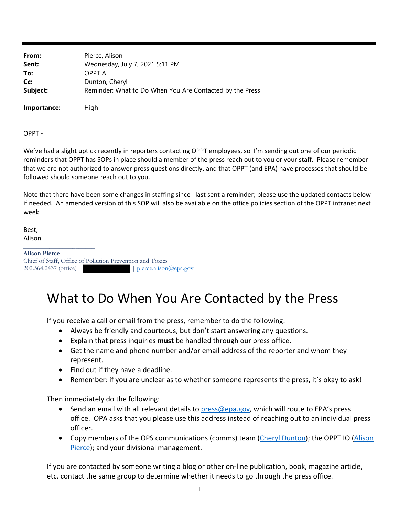**From:** Pierce, Alison **Sent:** Wednesday, July 7, 2021 5:11 PM **To:** OPPT ALL **Cc:** Dunton, Cheryl **Subject:** Reminder: What to Do When You Are Contacted by the Press

**Importance:** High

OPPT ‐

We've had a slight uptick recently in reporters contacting OPPT employees, so I'm sending out one of our periodic reminders that OPPT has SOPs in place should a member of the press reach out to you or your staff. Please remember that we are not authorized to answer press questions directly, and that OPPT (and EPA) have processes that should be followed should someone reach out to you.

Note that there have been some changes in staffing since I last sent a reminder; please use the updated contacts below if needed. An amended version of this SOP will also be available on the office policies section of the OPPT intranet next week.

Best, Alison

\_\_\_\_\_\_\_\_\_\_\_\_\_\_\_\_\_\_\_\_\_\_ **Alison Pierce**  Chief of Staff, Office of Pollution Prevention and Toxics 202.564.2437 (office) | | | | | pierce.alison@epa.gov

## What to Do When You Are Contacted by the Press

If you receive a call or email from the press, remember to do the following:

- Always be friendly and courteous, but don't start answering any questions.
- Explain that press inquiries **must** be handled through our press office.
- Get the name and phone number and/or email address of the reporter and whom they represent.
- Find out if they have a deadline.
- Remember: if you are unclear as to whether someone represents the press, it's okay to ask!

Then immediately do the following:

- $\bullet$  Send an email with all relevant details to press@epa.gov, which will route to EPA's press office. OPA asks that you please use this address instead of reaching out to an individual press officer.
- Copy members of the OPS communications (comms) team (Cheryl Dunton); the OPPT IO (Alison Pierce); and your divisional management.

If you are contacted by someone writing a blog or other on‐line publication, book, magazine article, etc. contact the same group to determine whether it needs to go through the press office.